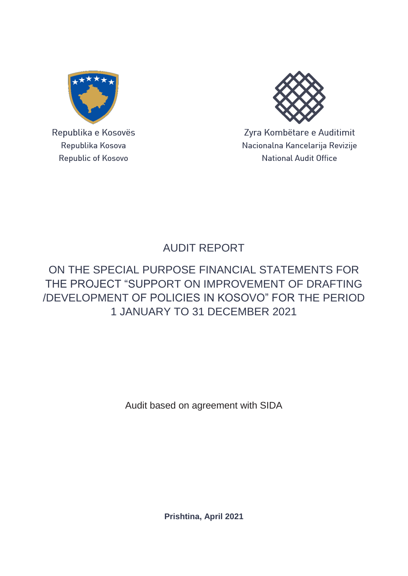

Republika e Kosovës Republika Kosova Republic of Kosovo



Zyra Kombëtare e Auditimit Nacionalna Kancelarija Revizije **National Audit Office** 

# AUDIT REPORT

## ON THE SPECIAL PURPOSE FINANCIAL STATEMENTS FOR THE PROJECT "SUPPORT ON IMPROVEMENT OF DRAFTING /DEVELOPMENT OF POLICIES IN KOSOVO" FOR THE PERIOD 1 JANUARY TO 31 DECEMBER 2021

Audit based on agreement with SIDA

**Prishtina, April 2021**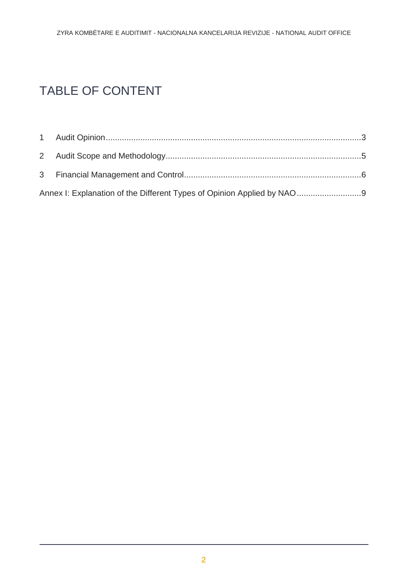# TABLE OF CONTENT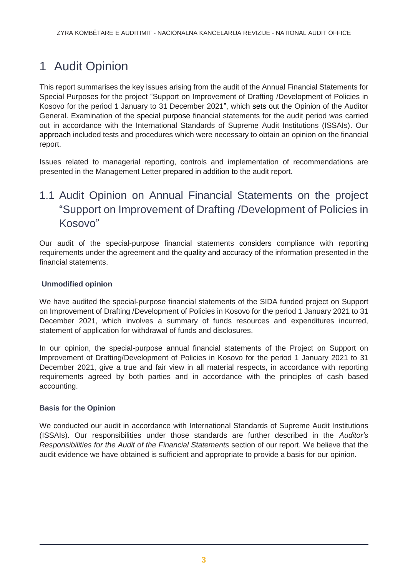# <span id="page-2-0"></span>1 Audit Opinion

This report summarises the key issues arising from the audit of the Annual Financial Statements for Special Purposes for the project "Support on Improvement of Drafting /Development of Policies in Kosovo for the period 1 January to 31 December 2021", which sets out the Opinion of the Auditor General. Examination of the special purpose financial statements for the audit period was carried out in accordance with the International Standards of Supreme Audit Institutions (ISSAIs). Our approach included tests and procedures which were necessary to obtain an opinion on the financial report.

Issues related to managerial reporting, controls and implementation of recommendations are presented in the Management Letter prepared in addition to the audit report.

## 1.1 Audit Opinion on Annual Financial Statements on the project "Support on Improvement of Drafting /Development of Policies in Kosovo"

Our audit of the special-purpose financial statements considers compliance with reporting requirements under the agreement and the quality and accuracy of the information presented in the financial statements.

### **Unmodified opinion**

We have audited the special-purpose financial statements of the SIDA funded project on Support on Improvement of Drafting /Development of Policies in Kosovo for the period 1 January 2021 to 31 December 2021, which involves a summary of funds resources and expenditures incurred, statement of application for withdrawal of funds and disclosures.

In our opinion, the special-purpose annual financial statements of the Project on Support on Improvement of Drafting/Development of Policies in Kosovo for the period 1 January 2021 to 31 December 2021, give a true and fair view in all material respects, in accordance with reporting requirements agreed by both parties and in accordance with the principles of cash based accounting.

### **Basis for the Opinion**

We conducted our audit in accordance with International Standards of Supreme Audit Institutions (ISSAIs). Our responsibilities under those standards are further described in the *Auditor's Responsibilities for the Audit of the Financial Statements* section of our report. We believe that the audit evidence we have obtained is sufficient and appropriate to provide a basis for our opinion.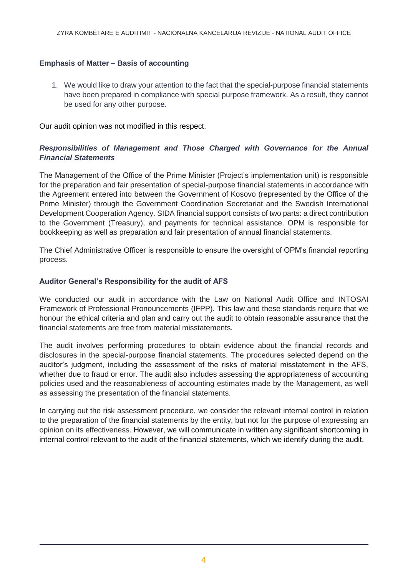### **Emphasis of Matter – Basis of accounting**

1. We would like to draw your attention to the fact that the special-purpose financial statements have been prepared in compliance with special purpose framework. As a result, they cannot be used for any other purpose.

Our audit opinion was not modified in this respect.

### *Responsibilities of Management and Those Charged with Governance for the Annual Financial Statements*

The Management of the Office of the Prime Minister (Project's implementation unit) is responsible for the preparation and fair presentation of special-purpose financial statements in accordance with the Agreement entered into between the Government of Kosovo (represented by the Office of the Prime Minister) through the Government Coordination Secretariat and the Swedish International Development Cooperation Agency. SIDA financial support consists of two parts: a direct contribution to the Government (Treasury), and payments for technical assistance. OPM is responsible for bookkeeping as well as preparation and fair presentation of annual financial statements.

The Chief Administrative Officer is responsible to ensure the oversight of OPM's financial reporting process.

### **Auditor General's Responsibility for the audit of AFS**

We conducted our audit in accordance with the Law on National Audit Office and INTOSAI Framework of Professional Pronouncements (IFPP). This law and these standards require that we honour the ethical criteria and plan and carry out the audit to obtain reasonable assurance that the financial statements are free from material misstatements.

The audit involves performing procedures to obtain evidence about the financial records and disclosures in the special-purpose financial statements. The procedures selected depend on the auditor's judgment, including the assessment of the risks of material misstatement in the AFS, whether due to fraud or error. The audit also includes assessing the appropriateness of accounting policies used and the reasonableness of accounting estimates made by the Management, as well as assessing the presentation of the financial statements.

In carrying out the risk assessment procedure, we consider the relevant internal control in relation to the preparation of the financial statements by the entity, but not for the purpose of expressing an opinion on its effectiveness. However, we will communicate in written any significant shortcoming in internal control relevant to the audit of the financial statements, which we identify during the audit.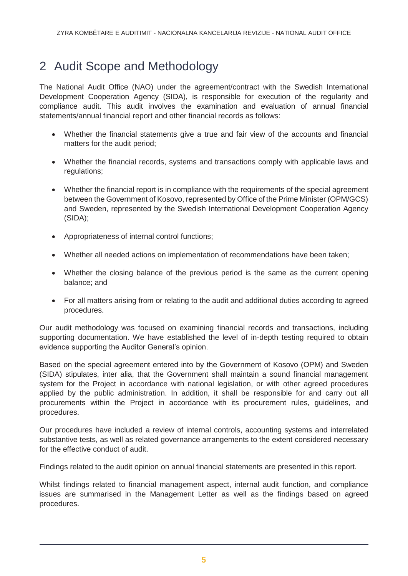## <span id="page-4-0"></span>2 Audit Scope and Methodology

The National Audit Office (NAO) under the agreement/contract with the Swedish International Development Cooperation Agency (SIDA), is responsible for execution of the regularity and compliance audit. This audit involves the examination and evaluation of annual financial statements/annual financial report and other financial records as follows:

- Whether the financial statements give a true and fair view of the accounts and financial matters for the audit period;
- Whether the financial records, systems and transactions comply with applicable laws and regulations;
- Whether the financial report is in compliance with the requirements of the special agreement between the Government of Kosovo, represented by Office of the Prime Minister (OPM/GCS) and Sweden, represented by the Swedish International Development Cooperation Agency (SIDA);
- Appropriateness of internal control functions;
- Whether all needed actions on implementation of recommendations have been taken;
- Whether the closing balance of the previous period is the same as the current opening balance; and
- For all matters arising from or relating to the audit and additional duties according to agreed procedures.

Our audit methodology was focused on examining financial records and transactions, including supporting documentation. We have established the level of in-depth testing required to obtain evidence supporting the Auditor General's opinion.

Based on the special agreement entered into by the Government of Kosovo (OPM) and Sweden (SIDA) stipulates, inter alia, that the Government shall maintain a sound financial management system for the Project in accordance with national legislation, or with other agreed procedures applied by the public administration. In addition, it shall be responsible for and carry out all procurements within the Project in accordance with its procurement rules, guidelines, and procedures.

Our procedures have included a review of internal controls, accounting systems and interrelated substantive tests, as well as related governance arrangements to the extent considered necessary for the effective conduct of audit.

Findings related to the audit opinion on annual financial statements are presented in this report.

Whilst findings related to financial management aspect, internal audit function, and compliance issues are summarised in the Management Letter as well as the findings based on agreed procedures.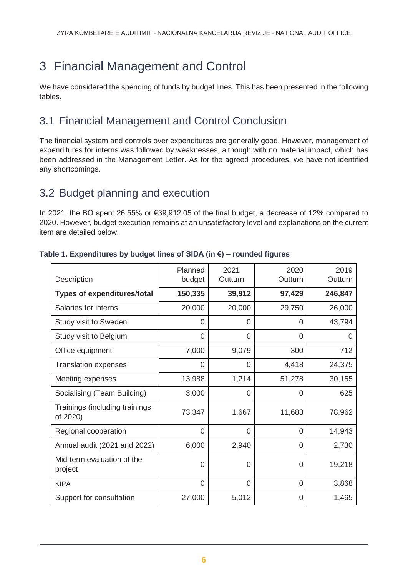# <span id="page-5-0"></span>3 Financial Management and Control

We have considered the spending of funds by budget lines. This has been presented in the following tables.

### 3.1 Financial Management and Control Conclusion

The financial system and controls over expenditures are generally good. However, management of expenditures for interns was followed by weaknesses, although with no material impact, which has been addressed in the Management Letter. As for the agreed procedures, we have not identified any shortcomings.

### 3.2 Budget planning and execution

In 2021, the BO spent 26.55% or €39,912.05 of the final budget, a decrease of 12% compared to 2020. However, budget execution remains at an unsatisfactory level and explanations on the current item are detailed below.

| Description                                | Planned<br>budget | 2021<br>Outturn | 2020<br>Outturn | 2019<br>Outturn |
|--------------------------------------------|-------------------|-----------------|-----------------|-----------------|
| <b>Types of expenditures/total</b>         | 150,335           | 39,912          | 97,429          | 246,847         |
| Salaries for interns                       | 20,000            | 20,000          | 29,750          | 26,000          |
| Study visit to Sweden                      | 0                 | 0               | 0               | 43,794          |
| Study visit to Belgium                     | 0                 | 0               | $\Omega$        | 0               |
| Office equipment                           | 7,000             | 9,079           | 300             | 712             |
| <b>Translation expenses</b>                | $\Omega$          | 0               | 4,418           | 24,375          |
| Meeting expenses                           | 13,988            | 1,214           | 51,278          | 30,155          |
| Socialising (Team Building)                | 3,000             | 0               | 0               | 625             |
| Trainings (including trainings<br>of 2020) | 73,347            | 1,667           | 11,683          | 78,962          |
| Regional cooperation                       | 0                 | 0               | 0               | 14,943          |
| Annual audit (2021 and 2022)               | 6,000             | 2,940           | 0               | 2,730           |
| Mid-term evaluation of the<br>project      | 0                 | 0               | 0               | 19,218          |
| <b>KIPA</b>                                | 0                 | 0               | 0               | 3,868           |
| Support for consultation                   | 27,000            | 5,012           | 0               | 1,465           |

### **Table 1. Expenditures by budget lines of SIDA (in €) – rounded figures**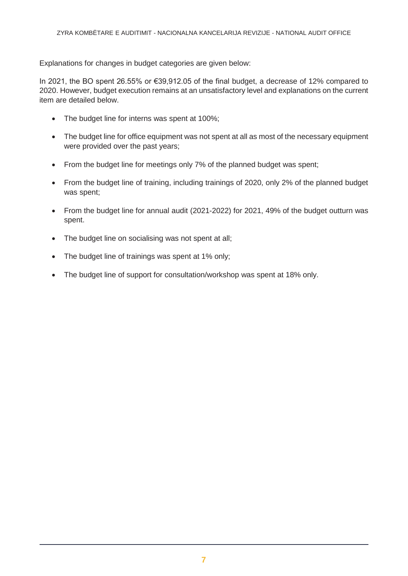Explanations for changes in budget categories are given below:

In 2021, the BO spent 26.55% or €39,912.05 of the final budget, a decrease of 12% compared to 2020. However, budget execution remains at an unsatisfactory level and explanations on the current item are detailed below.

- The budget line for interns was spent at 100%;
- The budget line for office equipment was not spent at all as most of the necessary equipment were provided over the past years;
- From the budget line for meetings only 7% of the planned budget was spent;
- From the budget line of training, including trainings of 2020, only 2% of the planned budget was spent;
- From the budget line for annual audit (2021-2022) for 2021, 49% of the budget outturn was spent.
- The budget line on socialising was not spent at all;
- The budget line of trainings was spent at 1% only;
- The budget line of support for consultation/workshop was spent at 18% only.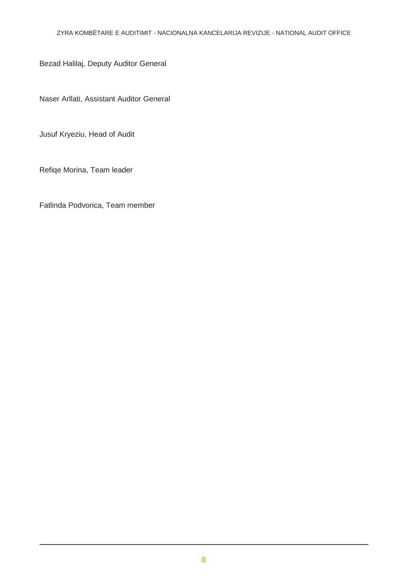Bezad Halilaj, Deputy Auditor General

Naser Arllati, Assistant Auditor General

Jusuf Kryeziu, Head of Audit

Refiqe Morina, Team leader

Fatlinda Podvorica, Team member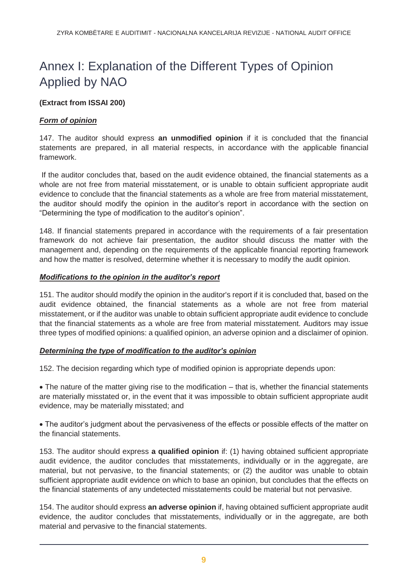# <span id="page-8-0"></span>Annex I: Explanation of the Different Types of Opinion Applied by NAO

### **(Extract from ISSAI 200)**

### *Form of opinion*

147. The auditor should express **an unmodified opinion** if it is concluded that the financial statements are prepared, in all material respects, in accordance with the applicable financial framework.

If the auditor concludes that, based on the audit evidence obtained, the financial statements as a whole are not free from material misstatement, or is unable to obtain sufficient appropriate audit evidence to conclude that the financial statements as a whole are free from material misstatement, the auditor should modify the opinion in the auditor's report in accordance with the section on "Determining the type of modification to the auditor's opinion".

148. If financial statements prepared in accordance with the requirements of a fair presentation framework do not achieve fair presentation, the auditor should discuss the matter with the management and, depending on the requirements of the applicable financial reporting framework and how the matter is resolved, determine whether it is necessary to modify the audit opinion.

### *Modifications to the opinion in the auditor's report*

151. The auditor should modify the opinion in the auditor's report if it is concluded that, based on the audit evidence obtained, the financial statements as a whole are not free from material misstatement, or if the auditor was unable to obtain sufficient appropriate audit evidence to conclude that the financial statements as a whole are free from material misstatement. Auditors may issue three types of modified opinions: a qualified opinion, an adverse opinion and a disclaimer of opinion.

### *Determining the type of modification to the auditor's opinion*

152. The decision regarding which type of modified opinion is appropriate depends upon:

 The nature of the matter giving rise to the modification – that is, whether the financial statements are materially misstated or, in the event that it was impossible to obtain sufficient appropriate audit evidence, may be materially misstated; and

 The auditor's judgment about the pervasiveness of the effects or possible effects of the matter on the financial statements.

153. The auditor should express **a qualified opinion** if: (1) having obtained sufficient appropriate audit evidence, the auditor concludes that misstatements, individually or in the aggregate, are material, but not pervasive, to the financial statements; or (2) the auditor was unable to obtain sufficient appropriate audit evidence on which to base an opinion, but concludes that the effects on the financial statements of any undetected misstatements could be material but not pervasive.

154. The auditor should express **an adverse opinion** if, having obtained sufficient appropriate audit evidence, the auditor concludes that misstatements, individually or in the aggregate, are both material and pervasive to the financial statements.